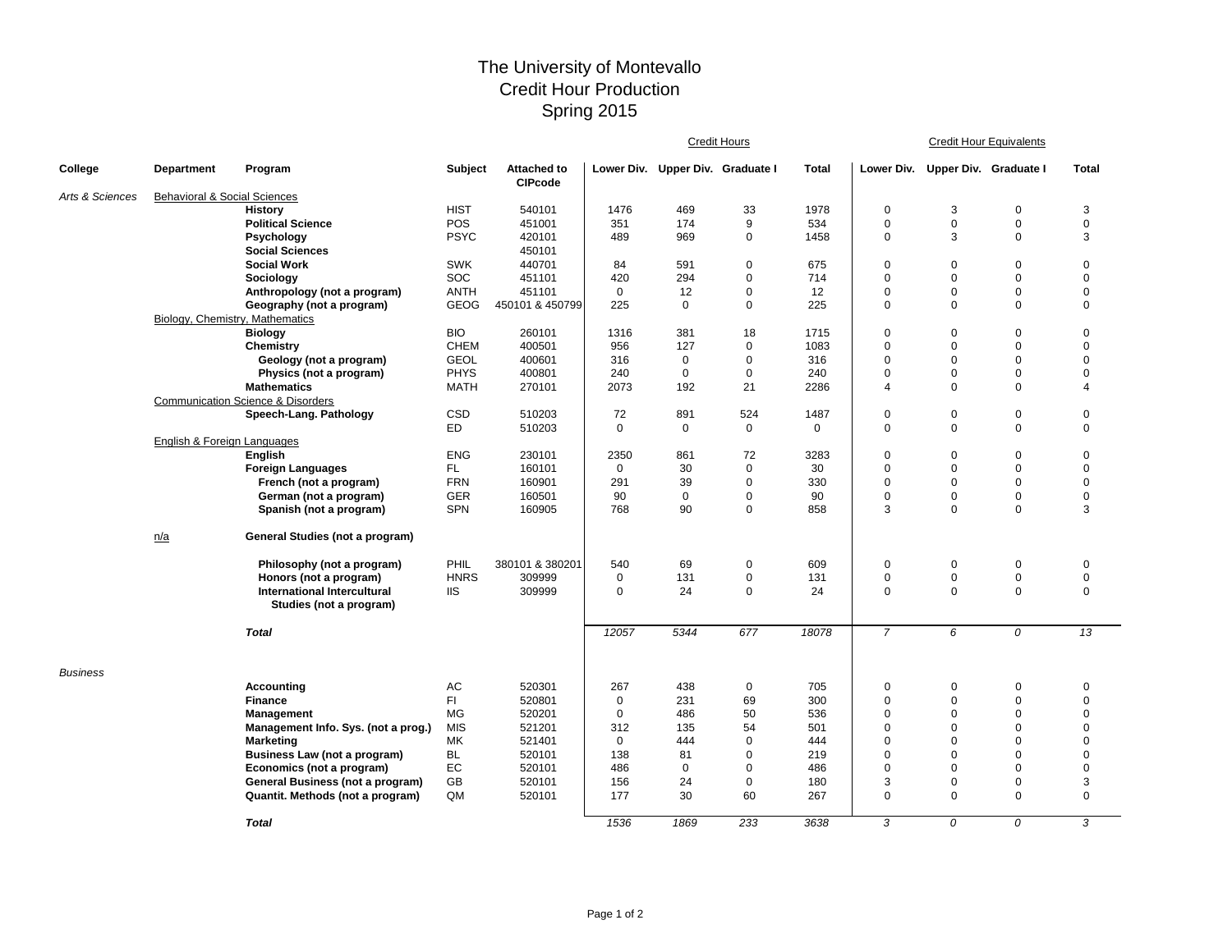## The University of Montevallo Credit Hour Production Spring 2015

|                 |                                         |                                                    |             |                                      | Credit Hours |                                  |             |             | <b>Credit Hour Equivalents</b> |                                  |                            |                          |  |
|-----------------|-----------------------------------------|----------------------------------------------------|-------------|--------------------------------------|--------------|----------------------------------|-------------|-------------|--------------------------------|----------------------------------|----------------------------|--------------------------|--|
| College         | <b>Department</b>                       | Program                                            | Subject     | <b>Attached to</b><br><b>CIPcode</b> |              | Lower Div. Upper Div. Graduate I |             | Total       |                                | Lower Div. Upper Div. Graduate I |                            | <b>Total</b>             |  |
| Arts & Sciences | <b>Behavioral &amp; Social Sciences</b> |                                                    |             |                                      |              |                                  |             |             |                                |                                  |                            |                          |  |
|                 |                                         | <b>History</b>                                     | <b>HIST</b> | 540101                               | 1476         | 469                              | 33          | 1978        | $\mathbf 0$                    | 3                                | 0                          | 3                        |  |
|                 |                                         | <b>Political Science</b>                           | <b>POS</b>  | 451001                               | 351          | 174                              | 9           | 534         | $\mathbf 0$                    | $\mathbf 0$                      | $\mathbf 0$                | $\mathbf 0$              |  |
|                 |                                         | Psychology                                         | <b>PSYC</b> | 420101                               | 489          | 969                              | 0           | 1458        | $\mathbf 0$                    | 3                                | $\mathbf 0$                | 3                        |  |
|                 |                                         | <b>Social Sciences</b>                             |             | 450101                               |              |                                  |             |             |                                |                                  |                            |                          |  |
|                 |                                         | <b>Social Work</b>                                 | <b>SWK</b>  | 440701                               | 84           | 591                              | $\pmb{0}$   | 675         | $\Omega$                       | $\Omega$                         | $\mathbf 0$                | $\mathbf 0$              |  |
|                 |                                         | Sociology                                          | SOC         | 451101                               | 420          | 294                              | $\pmb{0}$   | 714         | $\mathbf 0$                    | $\mathbf 0$                      | $\mathbf 0$                | $\mathbf 0$              |  |
|                 |                                         | Anthropology (not a program)                       | <b>ANTH</b> | 451101                               | $\mathbf 0$  | 12                               | $\mathbf 0$ | 12          | $\pmb{0}$                      | $\mathbf 0$                      | $\mathbf 0$                | $\mathbf 0$              |  |
|                 |                                         | Geography (not a program)                          | <b>GEOG</b> | 450101 & 450799                      | 225          | $\mathbf 0$                      | $\mathbf 0$ | 225         | $\mathbf 0$                    | $\Omega$                         | $\Omega$                   | $\mathbf 0$              |  |
|                 | Biology, Chemistry, Mathematics         |                                                    |             |                                      |              |                                  |             |             |                                |                                  |                            |                          |  |
|                 |                                         | <b>Biology</b>                                     | <b>BIO</b>  | 260101                               | 1316         | 381                              | 18          | 1715        | $\overline{0}$                 | $\mathbf 0$                      | $\mathbf 0$                | $\mathbf 0$              |  |
|                 |                                         | Chemistry                                          | <b>CHEM</b> | 400501                               | 956          | 127                              | 0           | 1083        | $\Omega$                       | $\mathbf 0$                      | $\mathbf 0$                | $\mathbf 0$              |  |
|                 |                                         | Geology (not a program)                            | <b>GEOL</b> | 400601                               | 316          | 0                                | 0           | 316         | $\overline{0}$                 | 0                                | $\mathbf 0$                | $\mathbf 0$              |  |
|                 |                                         | Physics (not a program)                            | <b>PHYS</b> | 400801                               | 240          | $\mathbf 0$                      | $\mathbf 0$ | 240         | $\mathbf 0$                    | $\mathbf 0$                      | $\mathbf 0$                | $\mathbf 0$              |  |
|                 |                                         | <b>Mathematics</b>                                 | MATH        | 270101                               | 2073         | 192                              | 21          | 2286        | $\overline{4}$                 | 0                                | $\mathbf 0$                | $\overline{4}$           |  |
|                 |                                         | <b>Communication Science &amp; Disorders</b>       |             |                                      |              |                                  |             |             |                                |                                  |                            |                          |  |
|                 |                                         | Speech-Lang. Pathology                             | CSD<br>ED.  | 510203                               | 72           | 891                              | 524         | 1487        | $\pmb{0}$                      | $\pmb{0}$                        | $\mathbf 0$<br>$\mathbf 0$ | $\pmb{0}$<br>$\mathbf 0$ |  |
|                 |                                         |                                                    |             | 510203                               | $\mathbf 0$  | $\mathbf 0$                      | $\mathbf 0$ | $\mathbf 0$ | $\mathbf 0$                    | $\mathbf 0$                      |                            |                          |  |
|                 | English & Foreign Languages             |                                                    | <b>ENG</b>  | 230101                               | 2350         | 861                              | 72          | 3283        | 0                              | $\mathbf 0$                      | $\mathbf 0$                | $\mathbf 0$              |  |
|                 |                                         | <b>English</b>                                     | FL.         | 160101                               | $\mathbf 0$  | 30                               | 0           | 30          | $\mathbf 0$                    | $\mathbf 0$                      | $\mathbf 0$                | $\mathbf 0$              |  |
|                 |                                         | <b>Foreign Languages</b><br>French (not a program) | <b>FRN</b>  | 160901                               | 291          | 39                               | $\mathbf 0$ | 330         | $\Omega$                       | $\Omega$                         | $\Omega$                   | $\mathbf 0$              |  |
|                 |                                         | German (not a program)                             | <b>GER</b>  | 160501                               | 90           | 0                                | $\mathbf 0$ | 90          | $\mathbf 0$                    | $\mathbf 0$                      | $\boldsymbol{0}$           | $\mathbf 0$              |  |
|                 |                                         | Spanish (not a program)                            | <b>SPN</b>  | 160905                               | 768          | 90                               | $\mathbf 0$ | 858         | 3                              | $\Omega$                         | $\Omega$                   | 3                        |  |
|                 |                                         |                                                    |             |                                      |              |                                  |             |             |                                |                                  |                            |                          |  |
|                 | n/a                                     | General Studies (not a program)                    |             |                                      |              |                                  |             |             |                                |                                  |                            |                          |  |
|                 |                                         | Philosophy (not a program)                         | PHIL        | 380101 & 380201                      | 540          | 69                               | $\pmb{0}$   | 609         | 0                              | 0                                | 0                          | 0                        |  |
|                 |                                         | Honors (not a program)                             | <b>HNRS</b> | 309999                               | $\mathbf 0$  | 131                              | $\mathsf 0$ | 131         | $\mathbf 0$                    | $\mathbf 0$                      | $\mathbf 0$                | $\mathbf 0$              |  |
|                 |                                         | International Intercultural                        | <b>IIS</b>  | 309999                               | $\mathbf 0$  | 24                               | $\pmb{0}$   | 24          | $\mathbf 0$                    | $\Omega$                         | $\mathbf 0$                | $\mathbf 0$              |  |
|                 |                                         | Studies (not a program)                            |             |                                      |              |                                  |             |             |                                |                                  |                            |                          |  |
|                 |                                         | <b>Total</b>                                       |             |                                      | 12057        | 5344                             | 677         | 18078       | $\overline{7}$                 | 6                                | 0                          | 13                       |  |
| <b>Business</b> |                                         |                                                    |             |                                      |              |                                  |             |             |                                |                                  |                            |                          |  |
|                 |                                         | <b>Accounting</b>                                  | AC          | 520301                               | 267          | 438                              | 0           | 705         | 0                              | 0                                | $\mathbf 0$                | $\mathbf 0$              |  |
|                 |                                         | <b>Finance</b>                                     | FI          | 520801                               | $\mathbf 0$  | 231                              | 69          | 300         | $\mathbf 0$                    | $\mathbf 0$                      | $\mathbf 0$                | $\mathbf 0$              |  |
|                 |                                         | <b>Management</b>                                  | <b>MG</b>   | 520201                               | $\mathbf 0$  | 486                              | 50          | 536         | $\mathbf 0$                    | $\Omega$                         | $\Omega$                   | $\mathbf 0$              |  |
|                 |                                         | Management Info. Sys. (not a prog.)                | <b>MIS</b>  | 521201                               | 312          | 135                              | 54          | 501         | $\mathbf 0$                    | $\Omega$                         | $\Omega$                   | $\mathbf 0$              |  |
|                 |                                         | <b>Marketing</b>                                   | <b>MK</b>   | 521401                               | $\Omega$     | 444                              | $\mathbf 0$ | 444         | $\Omega$                       | $\Omega$                         | $\Omega$                   | $\Omega$                 |  |
|                 |                                         | Business Law (not a program)                       | <b>BL</b>   | 520101                               | 138          | 81                               | $\mathbf 0$ | 219         | $\Omega$                       | $\Omega$                         | $\Omega$                   | $\mathbf 0$              |  |
|                 |                                         | Economics (not a program)                          | EC          | 520101                               | 486          | $\mathbf 0$                      | $\mathbf 0$ | 486         | $\Omega$                       | $\Omega$                         | $\Omega$                   | $\mathbf 0$              |  |
|                 |                                         | General Business (not a program)                   | GB          | 520101                               | 156          | 24                               | 0           | 180         | 3                              | $\mathbf 0$                      | $\mathbf 0$                | 3                        |  |
|                 |                                         | Quantit. Methods (not a program)                   | QM          | 520101                               | 177          | 30                               | 60          | 267         | $\mathbf 0$                    | $\mathbf 0$                      | $\mathbf 0$                | $\mathbf 0$              |  |
|                 |                                         | <b>Total</b>                                       |             |                                      | 1536         | 1869                             | 233         | 3638        | 3                              | 0                                | $\Omega$                   | 3                        |  |